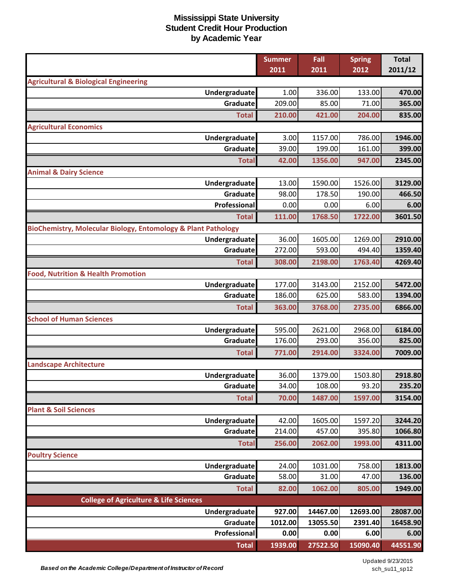|                                                                          | <b>Summer</b> | Fall     | <b>Spring</b> | <b>Total</b> |
|--------------------------------------------------------------------------|---------------|----------|---------------|--------------|
|                                                                          | 2011          | 2011     | 2012          | 2011/12      |
| <b>Agricultural &amp; Biological Engineering</b><br><b>Undergraduate</b> | 1.00          | 336.00   | 133.00        | 470.00       |
| Graduate                                                                 | 209.00        | 85.00    | 71.00         | 365.00       |
| <b>Total</b>                                                             | 210.00        | 421.00   | 204.00        | 835.00       |
| <b>Agricultural Economics</b>                                            |               |          |               |              |
| Undergraduate                                                            | 3.00          | 1157.00  | 786.00        | 1946.00      |
| Graduate                                                                 | 39.00         | 199.00   | 161.00        | 399.00       |
| <b>Total</b>                                                             | 42.00         | 1356.00  | 947.00        | 2345.00      |
| <b>Animal &amp; Dairy Science</b>                                        |               |          |               |              |
| Undergraduate                                                            | 13.00         | 1590.00  | 1526.00       | 3129.00      |
| Graduate                                                                 | 98.00         | 178.50   | 190.00        | 466.50       |
| Professional                                                             | 0.00          | 0.00     | 6.00          | 6.00         |
| <b>Total</b>                                                             | 111.00        | 1768.50  | 1722.00       | 3601.50      |
| BioChemistry, Molecular Biology, Entomology & Plant Pathology            |               |          |               |              |
| Undergraduate                                                            | 36.00         | 1605.00  | 1269.00       | 2910.00      |
| Graduate                                                                 | 272.00        | 593.00   | 494.40        | 1359.40      |
| <b>Total</b>                                                             | 308.00        | 2198.00  | 1763.40       | 4269.40      |
| <b>Food, Nutrition &amp; Health Promotion</b>                            |               |          |               |              |
| Undergraduate                                                            | 177.00        | 3143.00  | 2152.00       | 5472.00      |
| Graduate                                                                 | 186.00        | 625.00   | 583.00        | 1394.00      |
| <b>Total</b>                                                             | 363.00        | 3768.00  | 2735.00       | 6866.00      |
| <b>School of Human Sciences</b>                                          |               |          |               |              |
| Undergraduate                                                            | 595.00        | 2621.00  | 2968.00       | 6184.00      |
| Graduate                                                                 | 176.00        | 293.00   | 356.00        | 825.00       |
| <b>Total</b>                                                             | 771.00        | 2914.00  | 3324.00       | 7009.00      |
| <b>Landscape Architecture</b>                                            |               |          |               |              |
| Undergraduate                                                            | 36.00         | 1379.00  | 1503.80       | 2918.80      |
| <b>Graduate</b>                                                          | 34.00         | 108.00   | 93.20         | 235.20       |
| <b>Total</b>                                                             | 70.00         | 1487.00  | 1597.00       | 3154.00      |
| <b>Plant &amp; Soil Sciences</b>                                         |               |          |               |              |
| <b>Undergraduate</b>                                                     | 42.00         | 1605.00  | 1597.20       | 3244.20      |
| Graduate                                                                 | 214.00        | 457.00   | 395.80        | 1066.80      |
| <b>Total</b>                                                             | 256.00        | 2062.00  | 1993.00       | 4311.00      |
| <b>Poultry Science</b>                                                   |               |          |               |              |
| Undergraduate                                                            | 24.00         | 1031.00  | 758.00        | 1813.00      |
| Graduate                                                                 | 58.00         | 31.00    | 47.00         | 136.00       |
| <b>Total</b>                                                             | 82.00         | 1062.00  | 805.00        | 1949.00      |
| <b>College of Agriculture &amp; Life Sciences</b>                        |               |          |               |              |
| Undergraduate                                                            | 927.00        | 14467.00 | 12693.00      | 28087.00     |
| Graduate                                                                 | 1012.00       | 13055.50 | 2391.40       | 16458.90     |
| Professional                                                             | 0.00          | 0.00     | 6.00          | 6.00         |
| <b>Total</b>                                                             | 1939.00       | 27522.50 | 15090.40      | 44551.90     |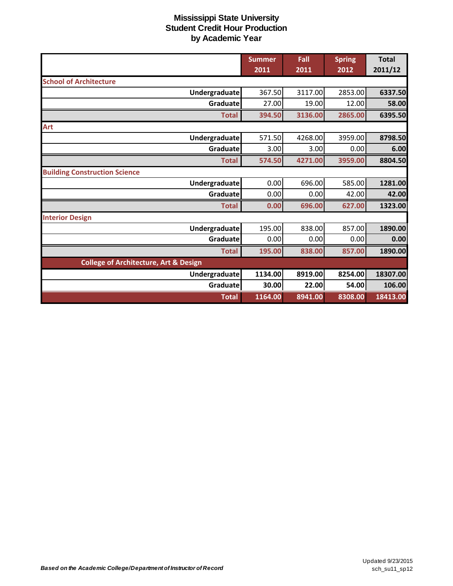|                                                  | <b>Summer</b><br>2011 | Fall<br>2011 | <b>Spring</b><br>2012 | <b>Total</b><br>2011/12 |
|--------------------------------------------------|-----------------------|--------------|-----------------------|-------------------------|
| <b>School of Architecture</b>                    |                       |              |                       |                         |
|                                                  |                       |              |                       |                         |
| Undergraduate                                    | 367.50                | 3117.00      | 2853.00               | 6337.50                 |
| Graduate                                         | 27.00                 | 19.00        | 12.00                 | 58.00                   |
| <b>Total</b>                                     | 394.50                | 3136.00      | 2865.00               | 6395.50                 |
| Art                                              |                       |              |                       |                         |
| <b>Undergraduate</b>                             | 571.50                | 4268.00      | 3959.00               | 8798.50                 |
| Graduate                                         | 3.00                  | 3.00         | 0.00                  | 6.00                    |
| <b>Total</b>                                     | 574.50                | 4271.00      | 3959.00               | 8804.50                 |
| <b>Building Construction Science</b>             |                       |              |                       |                         |
| <b>Undergraduate</b>                             | 0.00                  | 696.00       | 585.00                | 1281.00                 |
| Graduate                                         | 0.00                  | 0.00         | 42.00                 | 42.00                   |
| <b>Total</b>                                     | 0.00                  | 696.00       | 627.00                | 1323.00                 |
| <b>Interior Design</b>                           |                       |              |                       |                         |
| <b>Undergraduate</b>                             | 195.00                | 838.00       | 857.00                | 1890.00                 |
| Graduate                                         | 0.00                  | 0.00         | 0.00                  | 0.00                    |
| <b>Total</b>                                     | 195.00                | 838.00       | 857.00                | 1890.00                 |
| <b>College of Architecture, Art &amp; Design</b> |                       |              |                       |                         |
| <b>Undergraduate</b>                             | 1134.00               | 8919.00      | 8254.00               | 18307.00                |
| Graduate                                         | 30.00                 | 22.00        | 54.00                 | 106.00                  |
| <b>Total</b>                                     | 1164.00               | 8941.00      | 8308.00               | 18413.00                |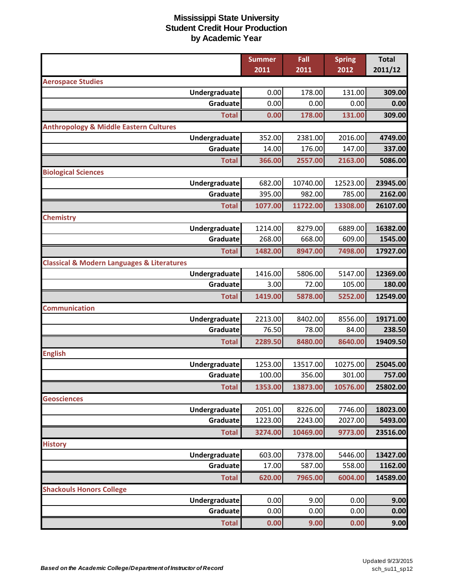|                                                           | <b>Summer</b> | Fall     | <b>Spring</b> | <b>Total</b> |
|-----------------------------------------------------------|---------------|----------|---------------|--------------|
|                                                           | 2011          | 2011     | 2012          | 2011/12      |
| <b>Aerospace Studies</b>                                  |               |          |               |              |
| Undergraduate                                             | 0.00          | 178.00   | 131.00        | 309.00       |
| Graduate                                                  | 0.00          | 0.00     | 0.00          | 0.00         |
| <b>Total</b>                                              | 0.00          | 178.00   | 131.00        | 309.00       |
| <b>Anthropology &amp; Middle Eastern Cultures</b>         |               |          |               |              |
| Undergraduate                                             | 352.00        | 2381.00  | 2016.00       | 4749.00      |
| Graduate                                                  | 14.00         | 176.00   | 147.00        | 337.00       |
| <b>Total</b>                                              | 366.00        | 2557.00  | 2163.00       | 5086.00      |
| <b>Biological Sciences</b>                                |               |          |               |              |
| Undergraduate                                             | 682.00        | 10740.00 | 12523.00      | 23945.00     |
| Graduate                                                  | 395.00        | 982.00   | 785.00        | 2162.00      |
| <b>Total</b>                                              | 1077.00       | 11722.00 | 13308.00      | 26107.00     |
| <b>Chemistry</b>                                          |               |          |               |              |
| Undergraduate                                             | 1214.00       | 8279.00  | 6889.00       | 16382.00     |
| Graduate                                                  | 268.00        | 668.00   | 609.00        | 1545.00      |
| <b>Total</b>                                              | 1482.00       | 8947.00  | 7498.00       | 17927.00     |
| <b>Classical &amp; Modern Languages &amp; Literatures</b> |               |          |               |              |
| Undergraduate                                             | 1416.00       | 5806.00  | 5147.00       | 12369.00     |
| Graduate                                                  | 3.00          | 72.00    | 105.00        | 180.00       |
| <b>Total</b>                                              | 1419.00       | 5878.00  | 5252.00       | 12549.00     |
| <b>Communication</b>                                      |               |          |               |              |
| Undergraduate                                             | 2213.00       | 8402.00  | 8556.00       | 19171.00     |
| Graduate                                                  | 76.50         | 78.00    | 84.00         | 238.50       |
| <b>Total</b>                                              | 2289.50       | 8480.00  | 8640.00       | 19409.50     |
| <b>English</b>                                            |               |          |               |              |
| Undergraduate                                             | 1253.00       | 13517.00 | 10275.00      | 25045.00     |
| Graduate                                                  | 100.00        | 356.00   | 301.00        | 757.00       |
| <b>Total</b>                                              | 1353.00       | 13873.00 | 10576.00      | 25802.00     |
| <b>Geosciences</b>                                        |               |          |               |              |
| Undergraduate                                             | 2051.00       | 8226.00  | 7746.00       | 18023.00     |
| Graduate                                                  | 1223.00       | 2243.00  | 2027.00       | 5493.00      |
| <b>Total</b>                                              | 3274.00       | 10469.00 | 9773.00       | 23516.00     |
| <b>History</b>                                            |               |          |               |              |
| Undergraduate                                             | 603.00        | 7378.00  | 5446.00       | 13427.00     |
| Graduate                                                  | 17.00         | 587.00   | 558.00        | 1162.00      |
| <b>Total</b>                                              | 620.00        | 7965.00  | 6004.00       | 14589.00     |
| <b>Shackouls Honors College</b>                           |               |          |               |              |
| Undergraduate                                             | 0.00          | 9.00     | 0.00          | 9.00         |
| Graduate                                                  | 0.00          | 0.00     | 0.00          | 0.00         |
| <b>Total</b>                                              | 0.00          | 9.00     | 0.00          | 9.00         |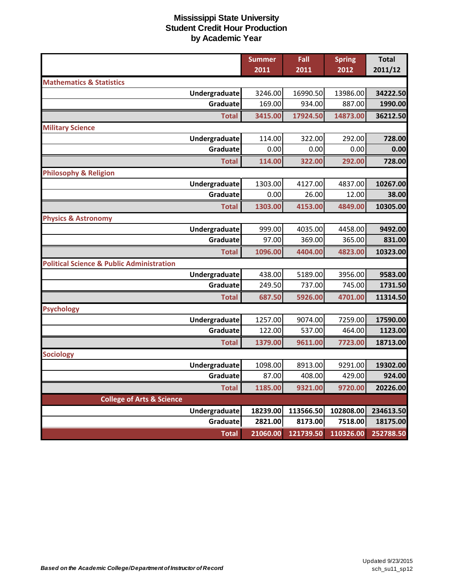|                                                      | <b>Summer</b> | Fall      | <b>Spring</b> | <b>Total</b> |
|------------------------------------------------------|---------------|-----------|---------------|--------------|
|                                                      | 2011          | 2011      | 2012          | 2011/12      |
| <b>Mathematics &amp; Statistics</b>                  |               |           |               |              |
| Undergraduate                                        | 3246.00       | 16990.50  | 13986.00      | 34222.50     |
| Graduate                                             | 169.00        | 934.00    | 887.00        | 1990.00      |
| <b>Total</b>                                         | 3415.00       | 17924.50  | 14873.00      | 36212.50     |
| <b>Military Science</b>                              |               |           |               |              |
| Undergraduate                                        | 114.00        | 322.00    | 292.00        | 728.00       |
| Graduate                                             | 0.00          | 0.00      | 0.00          | 0.00         |
| <b>Total</b>                                         | 114.00        | 322.00    | 292.00        | 728.00       |
| <b>Philosophy &amp; Religion</b>                     |               |           |               |              |
| Undergraduate                                        | 1303.00       | 4127.00   | 4837.00       | 10267.00     |
| Graduate                                             | 0.00          | 26.00     | 12.00         | 38.00        |
| <b>Total</b>                                         | 1303.00       | 4153.00   | 4849.00       | 10305.00     |
| <b>Physics &amp; Astronomy</b>                       |               |           |               |              |
| Undergraduate                                        | 999.00        | 4035.00   | 4458.00       | 9492.00      |
| Graduate                                             | 97.00         | 369.00    | 365.00        | 831.00       |
| <b>Total</b>                                         | 1096.00       | 4404.00   | 4823.00       | 10323.00     |
| <b>Political Science &amp; Public Administration</b> |               |           |               |              |
| Undergraduate                                        | 438.00        | 5189.00   | 3956.00       | 9583.00      |
| Graduate                                             | 249.50        | 737.00    | 745.00        | 1731.50      |
| <b>Total</b>                                         | 687.50        | 5926.00   | 4701.00       | 11314.50     |
| <b>Psychology</b>                                    |               |           |               |              |
| Undergraduate                                        | 1257.00       | 9074.00   | 7259.00       | 17590.00     |
| Graduate                                             | 122.00        | 537.00    | 464.00        | 1123.00      |
| <b>Total</b>                                         | 1379.00       | 9611.00   | 7723.00       | 18713.00     |
| <b>Sociology</b>                                     |               |           |               |              |
| Undergraduate                                        | 1098.00       | 8913.00   | 9291.00       | 19302.00     |
| Graduate                                             | 87.00         | 408.00    | 429.00        | 924.00       |
| <b>Total</b>                                         | 1185.00       | 9321.00   | 9720.00       | 20226.00     |
| <b>College of Arts &amp; Science</b>                 |               |           |               |              |
| <b>Undergraduate</b>                                 | 18239.00      | 113566.50 | 102808.00     | 234613.50    |
| Graduate                                             | 2821.00       | 8173.00   | 7518.00       | 18175.00     |
| <b>Total</b>                                         | 21060.00      | 121739.50 | 110326.00     | 252788.50    |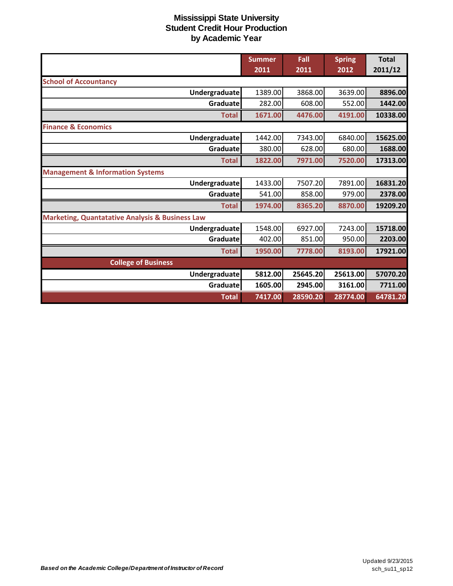|                                                            | <b>Summer</b> | Fall     | <b>Spring</b> | <b>Total</b> |
|------------------------------------------------------------|---------------|----------|---------------|--------------|
|                                                            | 2011          | 2011     | 2012          | 2011/12      |
| <b>School of Accountancy</b>                               |               |          |               |              |
| Undergraduate                                              | 1389.00       | 3868.00  | 3639.00       | 8896.00      |
| Graduate                                                   | 282.00        | 608.00   | 552.00        | 1442.00      |
| <b>Total</b>                                               | 1671.00       | 4476.00  | 4191.00       | 10338.00     |
| <b>Finance &amp; Economics</b>                             |               |          |               |              |
| Undergraduate                                              | 1442.00       | 7343.00  | 6840.00       | 15625.00     |
| Graduate                                                   | 380.00        | 628.00   | 680.00        | 1688.00      |
| <b>Total</b>                                               | 1822.00       | 7971.00  | 7520.00       | 17313.00     |
| <b>Management &amp; Information Systems</b>                |               |          |               |              |
| <b>Undergraduate</b>                                       | 1433.00       | 7507.20  | 7891.00       | 16831.20     |
| Graduate                                                   | 541.00        | 858.00   | 979.00        | 2378.00      |
| <b>Total</b>                                               | 1974.00       | 8365.20  | 8870.00       | 19209.20     |
| <b>Marketing, Quantatative Analysis &amp; Business Law</b> |               |          |               |              |
| Undergraduate                                              | 1548.00       | 6927.00  | 7243.00       | 15718.00     |
| Graduatel                                                  | 402.00        | 851.00   | 950.00        | 2203.00      |
| <b>Total</b>                                               | 1950.00       | 7778.00  | 8193.00       | 17921.00     |
| <b>College of Business</b>                                 |               |          |               |              |
| Undergraduate                                              | 5812.00       | 25645.20 | 25613.00      | 57070.20     |
| Graduate                                                   | 1605.00       | 2945.00  | 3161.00       | 7711.00      |
| <b>Total</b>                                               | 7417.00       | 28590.20 | 28774.00      | 64781.20     |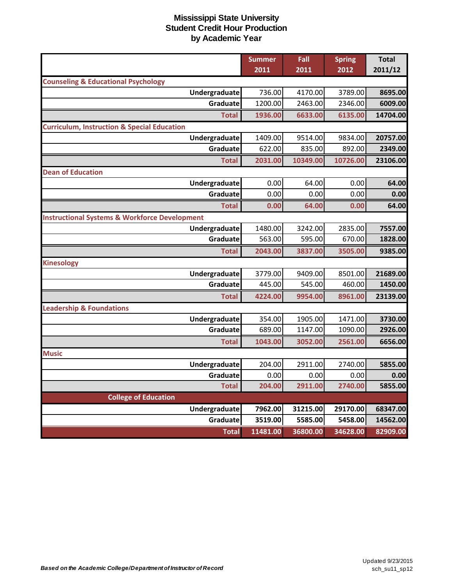|                                                          | <b>Summer</b> | Fall     | <b>Spring</b> | <b>Total</b> |
|----------------------------------------------------------|---------------|----------|---------------|--------------|
|                                                          | 2011          | 2011     | 2012          | 2011/12      |
| <b>Counseling &amp; Educational Psychology</b>           |               |          |               |              |
| Undergraduate                                            | 736.00        | 4170.00  | 3789.00       | 8695.00      |
| Graduate                                                 | 1200.00       | 2463.00  | 2346.00       | 6009.00      |
| <b>Total</b>                                             | 1936.00       | 6633.00  | 6135.00       | 14704.00     |
| <b>Curriculum, Instruction &amp; Special Education</b>   |               |          |               |              |
| Undergraduate                                            | 1409.00       | 9514.00  | 9834.00       | 20757.00     |
| Graduate                                                 | 622.00        | 835.00   | 892.00        | 2349.00      |
| <b>Total</b>                                             | 2031.00       | 10349.00 | 10726.00      | 23106.00     |
| <b>Dean of Education</b>                                 |               |          |               |              |
| Undergraduate                                            | 0.00          | 64.00    | 0.00          | 64.00        |
| Graduate                                                 | 0.00          | 0.00     | 0.00          | 0.00         |
| <b>Total</b>                                             | 0.00          | 64.00    | 0.00          | 64.00        |
| <b>Instructional Systems &amp; Workforce Development</b> |               |          |               |              |
| Undergraduate                                            | 1480.00       | 3242.00  | 2835.00       | 7557.00      |
| Graduate                                                 | 563.00        | 595.00   | 670.00        | 1828.00      |
| <b>Total</b>                                             | 2043.00       | 3837.00  | 3505.00       | 9385.00      |
| <b>Kinesology</b>                                        |               |          |               |              |
| Undergraduate                                            | 3779.00       | 9409.00  | 8501.00       | 21689.00     |
| Graduate                                                 | 445.00        | 545.00   | 460.00        | 1450.00      |
| <b>Total</b>                                             | 4224.00       | 9954.00  | 8961.00       | 23139.00     |
| <b>Leadership &amp; Foundations</b>                      |               |          |               |              |
| Undergraduate                                            | 354.00        | 1905.00  | 1471.00       | 3730.00      |
| Graduate                                                 | 689.00        | 1147.00  | 1090.00       | 2926.00      |
| <b>Total</b>                                             | 1043.00       | 3052.00  | 2561.00       | 6656.00      |
| <b>Music</b>                                             |               |          |               |              |
| Undergraduate                                            | 204.00        | 2911.00  | 2740.00       | 5855.00      |
| Graduate                                                 | 0.00          | 0.00     | 0.00          | 0.00         |
| <b>Total</b>                                             | 204.00        | 2911.00  | 2740.00       | 5855.00      |
| <b>College of Education</b>                              |               |          |               |              |
| Undergraduate                                            | 7962.00       | 31215.00 | 29170.00      | 68347.00     |
| Graduate                                                 | 3519.00       | 5585.00  | 5458.00       | 14562.00     |
| <b>Total</b>                                             | 11481.00      | 36800.00 | 34628.00      | 82909.00     |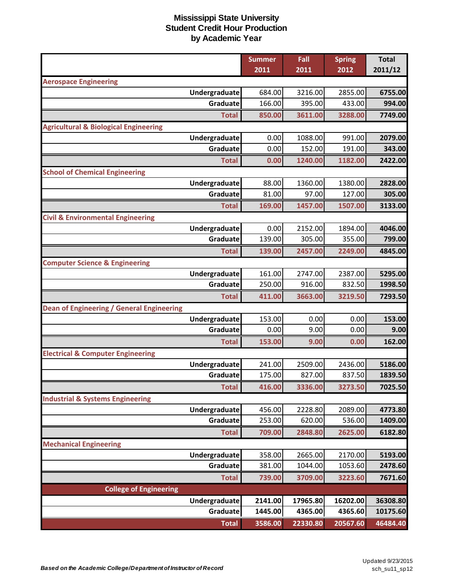|                                                  | <b>Summer</b> | Fall     | <b>Spring</b> | <b>Total</b> |
|--------------------------------------------------|---------------|----------|---------------|--------------|
|                                                  | 2011          | 2011     | 2012          | 2011/12      |
| <b>Aerospace Engineering</b>                     |               |          |               |              |
| Undergraduate                                    | 684.00        | 3216.00  | 2855.00       | 6755.00      |
| Graduate                                         | 166.00        | 395.00   | 433.00        | 994.00       |
| <b>Total</b>                                     | 850.00        | 3611.00  | 3288.00       | 7749.00      |
| <b>Agricultural &amp; Biological Engineering</b> |               |          |               |              |
| Undergraduate                                    | 0.00          | 1088.00  | 991.00        | 2079.00      |
| Graduate                                         | 0.00          | 152.00   | 191.00        | 343.00       |
| <b>Total</b>                                     | 0.00          | 1240.00  | 1182.00       | 2422.00      |
| <b>School of Chemical Engineering</b>            |               |          |               |              |
| Undergraduate                                    | 88.00         | 1360.00  | 1380.00       | 2828.00      |
| Graduate                                         | 81.00         | 97.00    | 127.00        | 305.00       |
| <b>Total</b>                                     | 169.00        | 1457.00  | 1507.00       | 3133.00      |
| <b>Civil &amp; Environmental Engineering</b>     |               |          |               |              |
| Undergraduate                                    | 0.00          | 2152.00  | 1894.00       | 4046.00      |
| Graduate                                         | 139.00        | 305.00   | 355.00        | 799.00       |
| <b>Total</b>                                     | 139.00        | 2457.00  | 2249.00       | 4845.00      |
| <b>Computer Science &amp; Engineering</b>        |               |          |               |              |
| Undergraduate                                    | 161.00        | 2747.00  | 2387.00       | 5295.00      |
| Graduate                                         | 250.00        | 916.00   | 832.50        | 1998.50      |
| <b>Total</b>                                     | 411.00        | 3663.00  | 3219.50       | 7293.50      |
| Dean of Engineering / General Engineering        |               |          |               |              |
| Undergraduate                                    | 153.00        | 0.00     | 0.00          | 153.00       |
| Graduate                                         | 0.00          | 9.00     | 0.00          | 9.00         |
| <b>Total</b>                                     | 153.00        | 9.00     | 0.00          | 162.00       |
| <b>Electrical &amp; Computer Engineering</b>     |               |          |               |              |
| Undergraduate                                    | 241.00        | 2509.00  | 2436.00       | 5186.00      |
| Graduate                                         | 175.00        | 827.00   | 837.50        | 1839.50      |
| <b>Total</b>                                     | 416.00        | 3336.00  | 3273.50       | 7025.50      |
| <b>Industrial &amp; Systems Engineering</b>      |               |          |               |              |
| Undergraduate                                    | 456.00        | 2228.80  | 2089.00       | 4773.80      |
| Graduate                                         | 253.00        | 620.00   | 536.00        | 1409.00      |
| <b>Total</b>                                     | 709.00        | 2848.80  | 2625.00       | 6182.80      |
| <b>Mechanical Engineering</b>                    |               |          |               |              |
| Undergraduate                                    | 358.00        | 2665.00  | 2170.00       | 5193.00      |
| Graduate                                         | 381.00        | 1044.00  | 1053.60       | 2478.60      |
| <b>Total</b>                                     | 739.00        | 3709.00  | 3223.60       | 7671.60      |
| <b>College of Engineering</b>                    |               |          |               |              |
| <b>Undergraduate</b>                             | 2141.00       | 17965.80 | 16202.00      | 36308.80     |
| Graduate                                         | 1445.00       | 4365.00  | 4365.60       | 10175.60     |
| <b>Total</b>                                     | 3586.00       | 22330.80 | 20567.60      | 46484.40     |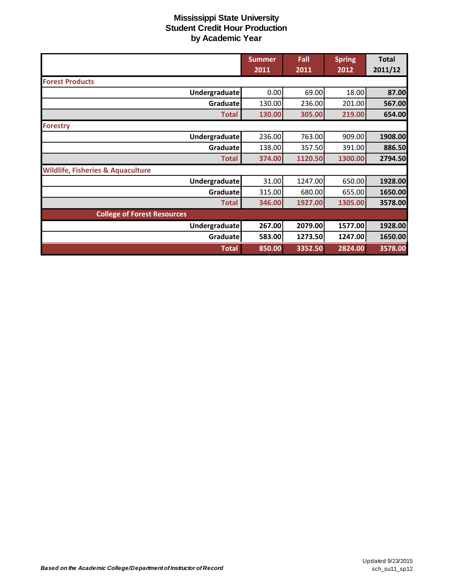|                                              | <b>Summer</b> | Fall    | <b>Spring</b> | <b>Total</b> |
|----------------------------------------------|---------------|---------|---------------|--------------|
|                                              | 2011          | 2011    | 2012          | 2011/12      |
| <b>Forest Products</b>                       |               |         |               |              |
| Undergraduate                                | 0.00          | 69.00   | 18.00         | 87.00        |
| Graduate                                     | 130.00        | 236.00  | 201.00        | 567.00       |
| <b>Total</b>                                 | 130.00        | 305.00  | 219.00        | 654.00       |
| <b>Forestry</b>                              |               |         |               |              |
| Undergraduate                                | 236.00        | 763.00  | 909.00        | 1908.00      |
| Graduate                                     | 138.00        | 357.50  | 391.00        | 886.50       |
| <b>Total</b>                                 | 374.00        | 1120.50 | 1300.00       | 2794.50      |
| <b>Wildlife, Fisheries &amp; Aquaculture</b> |               |         |               |              |
| <b>Undergraduate</b>                         | 31.00         | 1247.00 | 650.00        | 1928.00      |
| Graduate                                     | 315.00        | 680.00  | 655.00        | 1650.00      |
| <b>Total</b>                                 | 346.00        | 1927.00 | 1305.00       | 3578.00      |
| <b>College of Forest Resources</b>           |               |         |               |              |
| Undergraduate                                | 267.00        | 2079.00 | 1577.00       | 1928.00      |
| Graduate                                     | 583.00        | 1273.50 | 1247.00       | 1650.00      |
| <b>Total</b>                                 | 850.00        | 3352.50 | 2824.00       | 3578.00      |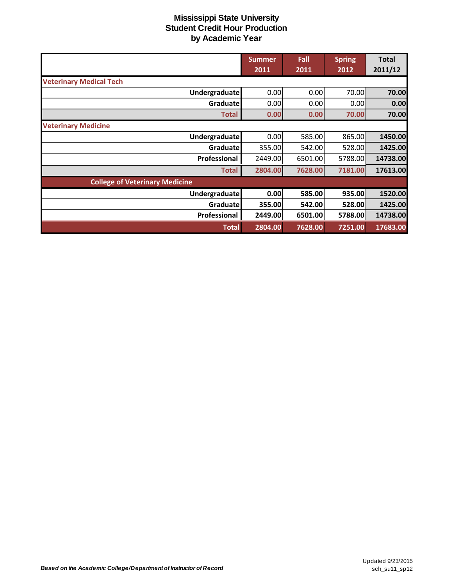|                                       | <b>Summer</b> | Fall    | <b>Spring</b> | <b>Total</b> |
|---------------------------------------|---------------|---------|---------------|--------------|
|                                       | 2011          | 2011    | 2012          | 2011/12      |
| <b>Veterinary Medical Tech</b>        |               |         |               |              |
| Undergraduate                         | 0.00          | 0.00    | 70.00         | 70.00        |
| Graduate                              | 0.00          | 0.00    | 0.001         | 0.00         |
| <b>Total</b>                          | 0.00          | 0.00    | 70.00         | 70.00        |
| <b>Veterinary Medicine</b>            |               |         |               |              |
| <b>Undergraduate</b>                  | 0.00          | 585.00  | 865.00        | 1450.00      |
| Graduate                              | 355.00        | 542.00  | 528.00        | 1425.00      |
| Professional                          | 2449.00       | 6501.00 | 5788.00       | 14738.00     |
| <b>Total</b>                          | 2804.00       | 7628.00 | 7181.00       | 17613.00     |
| <b>College of Veterinary Medicine</b> |               |         |               |              |
| <b>Undergraduate</b>                  | 0.00          | 585.00  | 935.00        | 1520.00      |
| Graduate                              | 355.00        | 542.00  | 528.00        | 1425.00      |
| Professional                          | 2449.00       | 6501.00 | 5788.00       | 14738.00     |
| <b>Total</b>                          | 2804.00       | 7628.00 | 7251.00       | 17683.00     |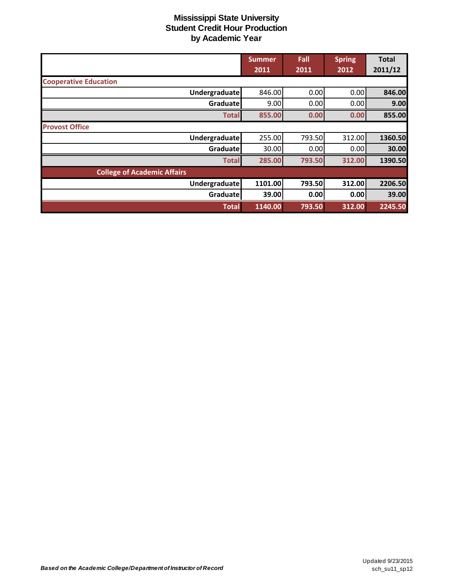|                                    | <b>Summer</b> | Fall   | <b>Spring</b> | <b>Total</b> |
|------------------------------------|---------------|--------|---------------|--------------|
|                                    | 2011          | 2011   | 2012          | 2011/12      |
| <b>Cooperative Education</b>       |               |        |               |              |
| <b>Undergraduate</b>               | 846.00        | 0.00   | 0.00          | 846.00       |
| Graduate                           | 9.00          | 0.00   | 0.00          | 9.00         |
| <b>Total</b>                       | 855.00        | 0.00   | 0.00          | 855.00       |
| <b>Provost Office</b>              |               |        |               |              |
| <b>Undergraduate</b>               | 255.00        | 793.50 | 312.00        | 1360.50      |
| Graduatel                          | 30.00         | 0.00   | 0.00          | 30.00        |
| <b>Total</b>                       | 285.00        | 793.50 | 312.00        | 1390.50      |
| <b>College of Academic Affairs</b> |               |        |               |              |
| Undergraduate                      | 1101.00       | 793.50 | 312.00        | 2206.50      |
| Graduate                           | 39.00         | 0.00   | 0.00          | 39.00        |
| <b>Total</b>                       | 1140.00       | 793.50 | 312.00        | 2245.50      |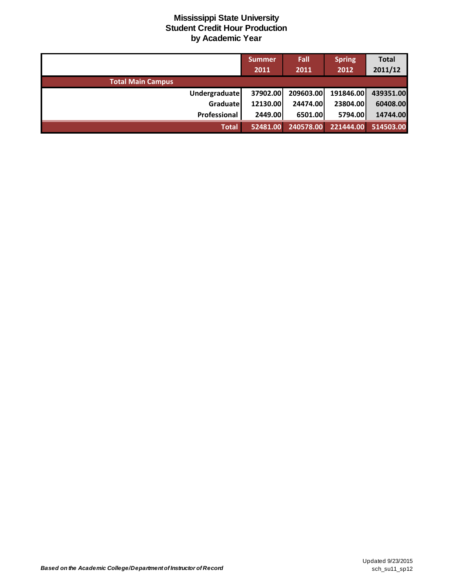|                          | <b>Summer</b> | Fall      | <b>Spring</b> | <b>Total</b> |
|--------------------------|---------------|-----------|---------------|--------------|
|                          | 2011          | 2011      | 2012          | 2011/12      |
| <b>Total Main Campus</b> |               |           |               |              |
| <b>Undergraduate</b>     | 37902.00      | 209603.00 | 191846.00     | 439351.00    |
| Graduate                 | 12130.00      | 24474.00  | 23804.00      | 60408.00     |
| Professional             | 2449.00       | 6501.00   | 5794.00       | 14744.00     |
| <b>Total</b>             | 52481.00      | 240578.00 | 221444.00     | 514503.00    |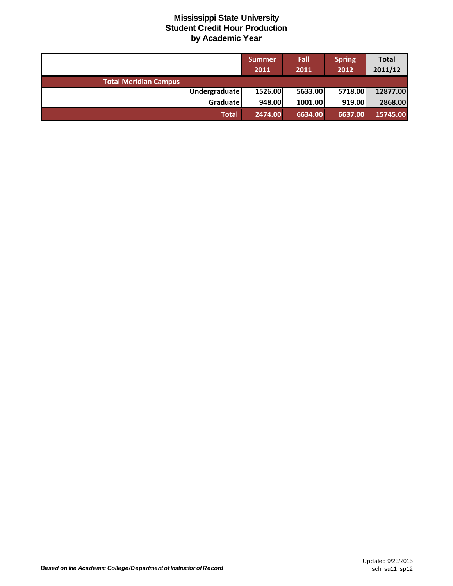|                              | <b>Summer</b><br>2011 | Fall<br>2011 | <b>Spring</b><br>2012 | <b>Total</b><br>2011/12 |
|------------------------------|-----------------------|--------------|-----------------------|-------------------------|
| <b>Total Meridian Campus</b> |                       |              |                       |                         |
| <b>Undergraduate</b>         | 1526.00               | 5633.00      | 5718.00               | 12877.00                |
| Graduate                     | 948.00                | 1001.00      | 919.00                | 2868.00                 |
| Total                        | 2474.00               | 6634.00      | 6637.00               | 15745.00                |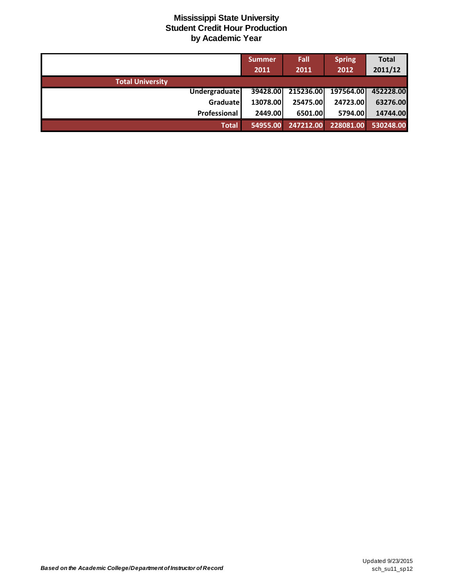|                         | Summer   | Fall      | <b>Spring</b> | <b>Total</b> |
|-------------------------|----------|-----------|---------------|--------------|
|                         | 2011     | 2011      | 2012          | 2011/12      |
| <b>Total University</b> |          |           |               |              |
| <b>Undergraduate</b>    | 39428.00 | 215236.00 | 197564.00     | 452228.00    |
| Graduate                | 13078.00 | 25475.00  | 24723.00      | 63276.00     |
| Professional            | 2449.00  | 6501.00   | 5794.00       | 14744.00     |
| <b>Total</b>            | 54955.00 | 247212.00 | 228081.00     | 530248.00    |